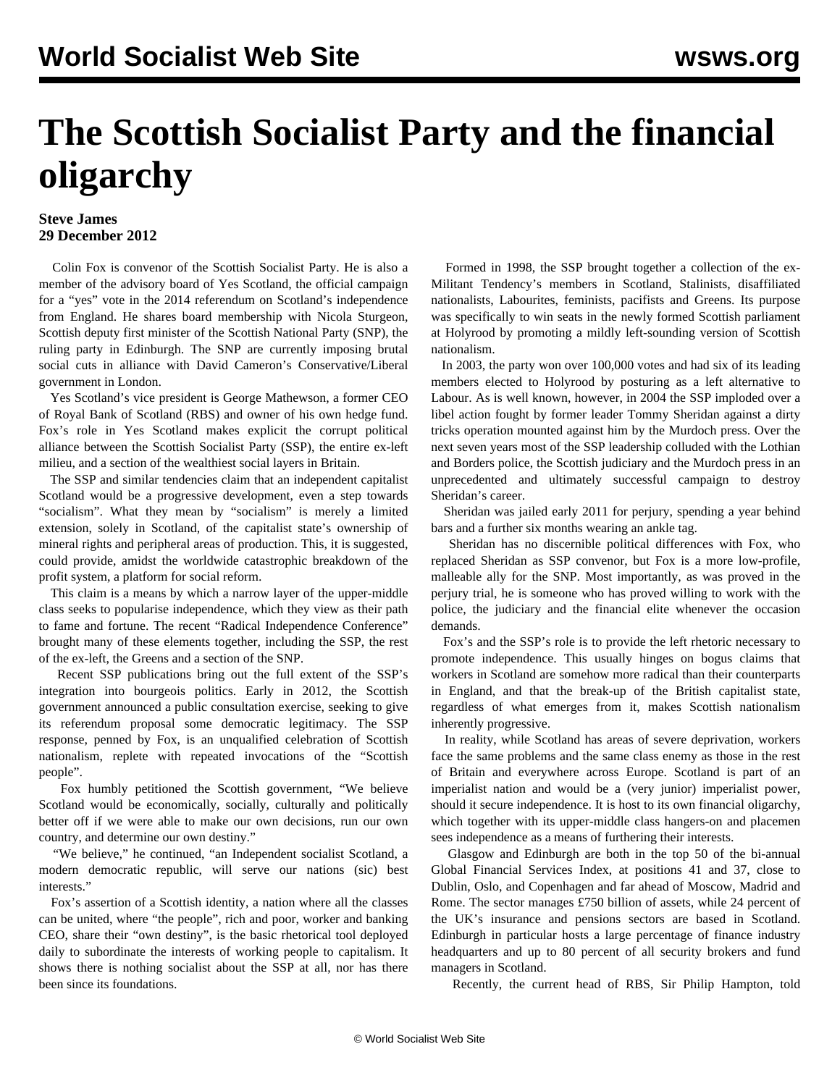## **The Scottish Socialist Party and the financial oligarchy**

## **Steve James 29 December 2012**

 Colin Fox is convenor of the Scottish Socialist Party. He is also a member of the advisory board of Yes Scotland, the official campaign for a "yes" vote in the 2014 referendum on Scotland's independence from England. He shares board membership with Nicola Sturgeon, Scottish deputy first minister of the Scottish National Party (SNP), the ruling party in Edinburgh. The SNP are currently imposing brutal social cuts in alliance with David Cameron's Conservative/Liberal government in London.

 Yes Scotland's vice president is George Mathewson, a former CEO of Royal Bank of Scotland (RBS) and owner of his own hedge fund. Fox's role in Yes Scotland makes explicit the corrupt political alliance between the Scottish Socialist Party (SSP), the entire ex-left milieu, and a section of the wealthiest social layers in Britain.

 The SSP and similar tendencies claim that an independent capitalist Scotland would be a progressive development, even a step towards "socialism". What they mean by "socialism" is merely a limited extension, solely in Scotland, of the capitalist state's ownership of mineral rights and peripheral areas of production. This, it is suggested, could provide, amidst the worldwide catastrophic breakdown of the profit system, a platform for social reform.

 This claim is a means by which a narrow layer of the upper-middle class seeks to popularise independence, which they view as their path to fame and fortune. The recent "Radical Independence Conference" brought many of these elements together, including the SSP, the rest of the ex-left, the Greens and a section of the SNP.

 Recent SSP publications bring out the full extent of the SSP's integration into bourgeois politics. Early in 2012, the Scottish government announced a public consultation exercise, seeking to give its referendum proposal some democratic legitimacy. The SSP response, penned by Fox, is an unqualified celebration of Scottish nationalism, replete with repeated invocations of the "Scottish people".

 Fox humbly petitioned the Scottish government, "We believe Scotland would be economically, socially, culturally and politically better off if we were able to make our own decisions, run our own country, and determine our own destiny."

 "We believe," he continued, "an Independent socialist Scotland, a modern democratic republic, will serve our nations (sic) best interests."

 Fox's assertion of a Scottish identity, a nation where all the classes can be united, where "the people", rich and poor, worker and banking CEO, share their "own destiny", is the basic rhetorical tool deployed daily to subordinate the interests of working people to capitalism. It shows there is nothing socialist about the SSP at all, nor has there been since its foundations.

 Formed in 1998, the SSP brought together a collection of the ex-Militant Tendency's members in Scotland, Stalinists, disaffiliated nationalists, Labourites, feminists, pacifists and Greens. Its purpose was specifically to win seats in the newly formed Scottish parliament at Holyrood by promoting a mildly left-sounding version of Scottish nationalism.

 In 2003, the party won over 100,000 votes and had six of its leading members elected to Holyrood by posturing as a left alternative to Labour. As is well known, however, in 2004 the SSP imploded over a libel action fought by former leader Tommy Sheridan against a dirty tricks operation mounted against him by the Murdoch press. Over the next seven years most of the SSP leadership colluded with the Lothian and Borders police, the Scottish judiciary and the Murdoch press in an unprecedented and ultimately successful campaign to destroy Sheridan's career.

 Sheridan was jailed early 2011 for perjury, spending a year behind bars and a further six months wearing an ankle tag.

 Sheridan has no discernible political differences with Fox, who replaced Sheridan as SSP convenor, but Fox is a more low-profile, malleable ally for the SNP. Most importantly, as was proved in the perjury trial, he is someone who has proved willing to work with the police, the judiciary and the financial elite whenever the occasion demands.

 Fox's and the SSP's role is to provide the left rhetoric necessary to promote independence. This usually hinges on bogus claims that workers in Scotland are somehow more radical than their counterparts in England, and that the break-up of the British capitalist state, regardless of what emerges from it, makes Scottish nationalism inherently progressive.

 In reality, while Scotland has areas of severe deprivation, workers face the same problems and the same class enemy as those in the rest of Britain and everywhere across Europe. Scotland is part of an imperialist nation and would be a (very junior) imperialist power, should it secure independence. It is host to its own financial oligarchy, which together with its upper-middle class hangers-on and placemen sees independence as a means of furthering their interests.

 Glasgow and Edinburgh are both in the top 50 of the bi-annual Global Financial Services Index, at positions 41 and 37, close to Dublin, Oslo, and Copenhagen and far ahead of Moscow, Madrid and Rome. The sector manages £750 billion of assets, while 24 percent of the UK's insurance and pensions sectors are based in Scotland. Edinburgh in particular hosts a large percentage of finance industry headquarters and up to 80 percent of all security brokers and fund managers in Scotland.

Recently, the current head of RBS, Sir Philip Hampton, told